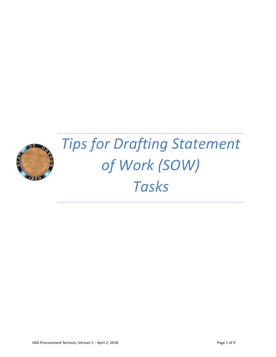

# *Tips for Drafting Statement of Work (SOW) Tasks*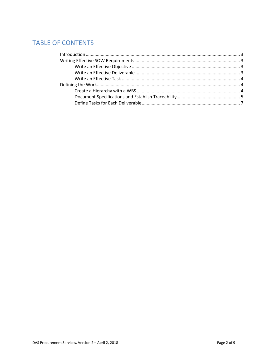# **TABLE OF CONTENTS**

| Introduction 3 |  |
|----------------|--|
|                |  |
|                |  |
|                |  |
|                |  |
|                |  |
|                |  |
|                |  |
|                |  |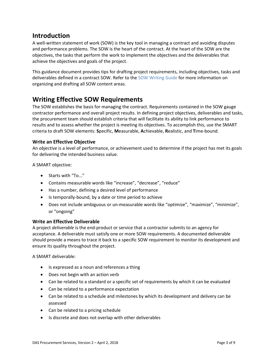# **Introduction**

A well-written statement of work (SOW) is the key tool in managing a contract and avoiding disputes and performance problems. The SOW is the heart of the contract. At the heart of the SOW are the objectives, the tasks that perform the work to implement the objectives and the deliverables that achieve the objectives and goals of the project.

This guidance document provides tips for drafting project requirements, including objectives, tasks and deliverables defined in a contract SOW. Refer to the SOW [Writing](http://www.oregon.gov/das/Procurement/Guiddoc/SOWWritingGuide.pdf) Guide for more information on organizing and drafting all SOW content areas.

# **Writing Effective SOW Requirements**

The SOW establishes the basis for managing the contract. Requirements contained in the SOW gauge contractor performance and overall project results. In defining project objectives, deliverables and tasks, the procurement team should establish criteria that will facilitate its ability to link performance to results and to assess whether the project is meeting its objectives. To accomplish this, use the SMART criteria to draft SOW elements: **S**pecific, **M**easurable, **A**chievable, **R**ealistic, and **T**ime-bound.

## **Write an Effective Objective**

An *objective* is a level of performance, or achievement used to determine if the project has met its goals for delivering the intended business value.

A SMART objective:

- Starts with "To..."
- Contains measurable words like "increase", "decrease", "reduce"
- Has a number, defining a desired level of performance
- Is temporally-bound, by a date or time period to achieve
- Does not include ambiguous or un-measurable words like "optimize", "maximize", "minimize", or "ongoing"

## **Write an Effective Deliverable**

A project *deliverable* is the end-product or service that a contractor submits to an agency for acceptance. A deliverable must satisfy one or more SOW requirements. A documented deliverable should provide a means to trace it back to a specific SOW requirement to monitor its development and ensure its quality throughout the project.

A SMART deliverable:

- Is expressed as a noun and references a thing
- Does not begin with an action verb
- Can be related to a standard or a specific set of requirements by which it can be evaluated
- Can be related to a performance expectation
- Can be related to a schedule and milestones by which its development and delivery can be assessed
- Can be related to a pricing schedule
- Is discrete and does not overlap with other deliverables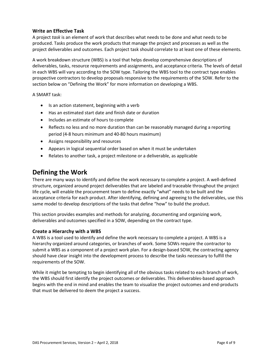#### **Write an Effective Task**

A project *task* is an element of work that describes what needs to be done and what needs to be produced. Tasks produce the work products that manage the project and processes as well as the project deliverables and outcomes. Each project task should correlate to at least one of these elements.

A work breakdown structure (WBS) is a tool that helps develop comprehensive descriptions of deliverables, tasks, resource requirements and assignments, and acceptance criteria. The levels of detail in each WBS will vary according to the SOW type. Tailoring the WBS tool to the contract type enables prospective contractors to develop proposals responsive to the requirements of the SOW. Refer to the section below on "Defining the Work" for more information on developing a WBS.

A SMART task:

- Is an action statement, beginning with a verb
- Has an estimated start date and finish date or duration
- Includes an estimate of hours to complete
- Reflects no less and no more duration than can be reasonably managed during a reporting period (4-8 hours minimum and 40-80 hours maximum)
- Assigns responsibility and resources
- Appears in logical sequential order based on when it must be undertaken
- Relates to another task, a project milestone or a deliverable, as applicable

# **Defining the Work**

There are many ways to identify and define the work necessary to complete a project. A well-defined structure, organized around project deliverables that are labeled and traceable throughout the project life cycle, will enable the procurement team to define exactly "what" needs to be built and the acceptance criteria for each product. After identifying, defining and agreeing to the deliverables, use this same model to develop descriptions of the tasks that define "how" to build the product.

This section provides examples and methods for analyzing, documenting and organizing work, deliverables and outcomes specified in a SOW, depending on the contract type.

#### **Create a Hierarchy with a WBS**

A WBS is a tool used to identify and define the work necessary to complete a project. A WBS is a hierarchy organized around categories, or branches of work. Some SOWs require the contractor to submit a WBS as a component of a project work plan. For a design-based SOW, the contracting agency should have clear insight into the development process to describe the tasks necessary to fulfill the requirements of the SOW.

While it might be tempting to begin identifying all of the obvious tasks related to each branch of work, the WBS should first identify the project outcomes or deliverables. This deliverables-based approach begins with the end in mind and enables the team to visualize the project outcomes and end-products that must be delivered to deem the project a success.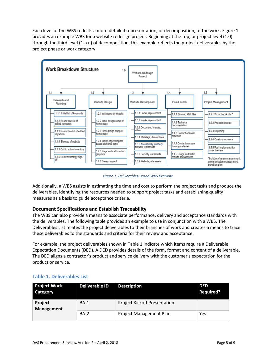Each level of the WBS reflects a more detailed representation, or decomposition, of the work. Figure 1 provides an example WBS for a website redesign project. Beginning at the top, or project level (1.0) through the third level (1.n.n) of decomposition, this example reflects the project deliverables by the project phase or work category.



*Figure 1: Deliverables-Based WBS Example*

Additionally, a WBS assists in estimating the time and cost to perform the project tasks and produce the deliverables, identifying the resources needed to support project tasks and establishing quality measures as a basis to guide acceptance criteria.

# **Document Specifications and Establish Traceability**

The WBS can also provide a means to associate performance, delivery and acceptance standards with the deliverables. The following table provides an example to use in conjunction with a WBS. The Deliverables List relates the project deliverables to their branches of work and creates a means to trace these deliverables to the standards and criteria for their review and acceptance.

For example, the project deliverables shown in Table 1 indicate which items require a Deliverable Expectation Documents (DED). A DED provides details of the form, format and content of a deliverable. The DED aligns a contractor's product and service delivery with the customer's expectation for the product or service.

| <b>Project Work</b><br>Category     | <b>Deliverable ID</b> | <b>Description</b>                  | <b>DED</b><br><b>Required?</b> |
|-------------------------------------|-----------------------|-------------------------------------|--------------------------------|
| <b>Project</b><br><b>Management</b> | <b>BA-1</b>           | <b>Project Kickoff Presentation</b> |                                |
|                                     | <b>BA-2</b>           | Project Management Plan             | Yes                            |

## **Table 1. Deliverables List**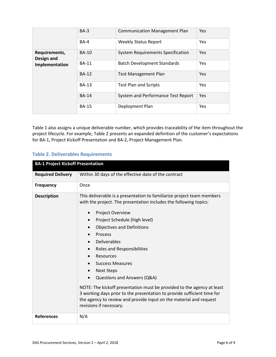|                                               | $BA-3$       | <b>Communication Management Plan</b>     | Yes        |
|-----------------------------------------------|--------------|------------------------------------------|------------|
|                                               | <b>BA-4</b>  | <b>Weekly Status Report</b>              | <b>Yes</b> |
| Requirements,<br>Design and<br>Implementation | <b>BA-10</b> | <b>System Requirements Specification</b> | Yes        |
|                                               | <b>BA-11</b> | <b>Batch Development Standards</b>       | Yes        |
|                                               | <b>BA-12</b> | <b>Test Management Plan</b>              | Yes        |
|                                               | <b>BA-13</b> | <b>Test Plan and Scripts</b>             | <b>Yes</b> |
|                                               | <b>BA-14</b> | System and Performance Test Report       | Yes        |
|                                               | <b>BA-15</b> | Deployment Plan                          | Yes        |

Table 1 also assigns a unique deliverable number, which provides traceability of the item throughout the project lifecycle. For example, Table 2 presents an expanded definition of the customer's expectations for BA-1, Project Kickoff Presentation and BA-2, Project Management Plan.

# **Table 2. Deliverables Requirements**

| <b>BA-1 Project Kickoff Presentation</b> |                                                                                                                                                                                                                                                                                                                                                                                                                                                                                                                                                                                                                                                                                                             |  |  |
|------------------------------------------|-------------------------------------------------------------------------------------------------------------------------------------------------------------------------------------------------------------------------------------------------------------------------------------------------------------------------------------------------------------------------------------------------------------------------------------------------------------------------------------------------------------------------------------------------------------------------------------------------------------------------------------------------------------------------------------------------------------|--|--|
| <b>Required Delivery</b>                 | Within 30 days of the effective date of the contract                                                                                                                                                                                                                                                                                                                                                                                                                                                                                                                                                                                                                                                        |  |  |
| <b>Frequency</b>                         | Once                                                                                                                                                                                                                                                                                                                                                                                                                                                                                                                                                                                                                                                                                                        |  |  |
| <b>Description</b>                       | This deliverable is a presentation to familiarize project team members<br>with the project. The presentation includes the following topics:<br><b>Project Overview</b><br>Project Schedule (high level)<br>$\bullet$<br><b>Objectives and Definitions</b><br>Process<br>Deliverables<br>$\bullet$<br>Roles and Responsibilities<br>$\bullet$<br>Resources<br><b>Success Measures</b><br><b>Next Steps</b><br>$\bullet$<br>Questions and Answers (Q&A)<br>NOTE: The kickoff presentation must be provided to the agency at least<br>3 working days prior to the presentation to provide sufficient time for<br>the agency to review and provide input on the material and request<br>revisions if necessary. |  |  |
| <b>References</b>                        | N/A                                                                                                                                                                                                                                                                                                                                                                                                                                                                                                                                                                                                                                                                                                         |  |  |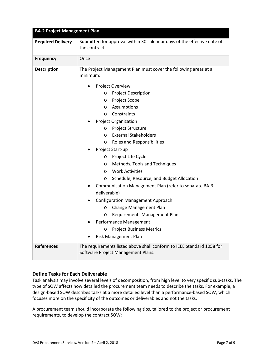| <b>BA-2 Project Management Plan</b> |                                                                                                             |  |  |
|-------------------------------------|-------------------------------------------------------------------------------------------------------------|--|--|
| <b>Required Delivery</b>            | Submitted for approval within 30 calendar days of the effective date of<br>the contract                     |  |  |
| <b>Frequency</b>                    | Once                                                                                                        |  |  |
| <b>Description</b>                  | The Project Management Plan must cover the following areas at a<br>minimum:                                 |  |  |
|                                     | Project Overview                                                                                            |  |  |
|                                     | <b>Project Description</b><br>O                                                                             |  |  |
|                                     | Project Scope<br>$\circ$                                                                                    |  |  |
|                                     | Assumptions<br>$\circ$                                                                                      |  |  |
|                                     | Constraints<br>$\circ$                                                                                      |  |  |
|                                     | Project Organization                                                                                        |  |  |
|                                     | Project Structure<br>$\circ$                                                                                |  |  |
|                                     | <b>External Stakeholders</b><br>$\circ$                                                                     |  |  |
|                                     | Roles and Responsibilities<br>$\circ$                                                                       |  |  |
|                                     | Project Start-up                                                                                            |  |  |
|                                     | Project Life Cycle<br>O                                                                                     |  |  |
|                                     | Methods, Tools and Techniques<br>O                                                                          |  |  |
|                                     | <b>Work Activities</b><br>$\circ$                                                                           |  |  |
|                                     | Schedule, Resource, and Budget Allocation<br>O                                                              |  |  |
|                                     | Communication Management Plan (refer to separate BA-3                                                       |  |  |
|                                     | deliverable)                                                                                                |  |  |
|                                     | <b>Configuration Management Approach</b>                                                                    |  |  |
|                                     | Change Management Plan<br>O                                                                                 |  |  |
|                                     | Requirements Management Plan<br>O                                                                           |  |  |
|                                     | Performance Management                                                                                      |  |  |
|                                     | <b>Project Business Metrics</b><br>$\circ$                                                                  |  |  |
|                                     | Risk Management Plan                                                                                        |  |  |
| <b>References</b>                   | The requirements listed above shall conform to IEEE Standard 1058 for<br>Software Project Management Plans. |  |  |

## **Define Tasks for Each Deliverable**

Task analysis may involve several levels of decomposition, from high level to very specific sub-tasks. The type of SOW affects how detailed the procurement team needs to describe the tasks. For example, a design-based SOW describes tasks at a more detailed level than a performance-based SOW, which focuses more on the specificity of the outcomes or deliverables and not the tasks.

A procurement team should incorporate the following tips, tailored to the project or procurement requirements, to develop the contract SOW: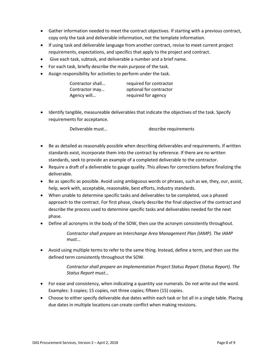- Gather information needed to meet the contract objectives. If starting with a previous contract, copy only the task and deliverable information, not the template information.
- If using task and deliverable language from another contract, revise to meet current project requirements, expectations, and specifics that apply to the project and contract.
- Give each task, subtask, and deliverable a number and a brief name.
- For each task, briefly describe the main purpose of the task.
- Assign responsibility for activities to perform under the task.

| Contractor shall | required for contractor |
|------------------|-------------------------|
| Contractor may   | optional for contractor |
| Agency will      | required for agency     |

• Identify tangible, measureable deliverables that indicate the objectives of the task. Specify requirements for acceptance.

Deliverable must... by the describe requirements

- Be as detailed as reasonably possible when describing deliverables and requirements. If written standards exist, incorporate them into the contract by reference. If there are no written standards, seek to provide an example of a completed deliverable to the contractor.
- Require a draft of a deliverable to gauge quality. This allows for corrections before finalizing the deliverable.
- Be as specific as possible. Avoid using ambiguous words or phrases, such as we, they, our, assist, help, work with, acceptable, reasonable, best efforts, industry standards.
- When unable to determine specific tasks and deliverables to be completed, use a phased approach to the contract. For first phase, clearly describe the final objective of the contract and describe the process used to determine specific tasks and deliverables needed for the next phase.
- Define all acronyms in the body of the SOW, then use the acronym consistently throughout.

*Contractor shall prepare an Interchange Area Management Plan (IAMP). The IAMP must...* 

• Avoid using multiple terms to refer to the same thing. Instead, define a term, and then use the defined term consistently throughout the SOW.

> *Contractor shall prepare an Implementation Project Status Report (Status Report). The Status Report must...*

- For ease and consistency, when indicating a quantity use numerals. Do not write out the word. Examples: 3 copies; 15 copies, not three copies; fifteen (15) copies.
- Choose to either specify deliverable due dates within each task or list all in a single table. Placing due dates in multiple locations can create conflict when making revisions.